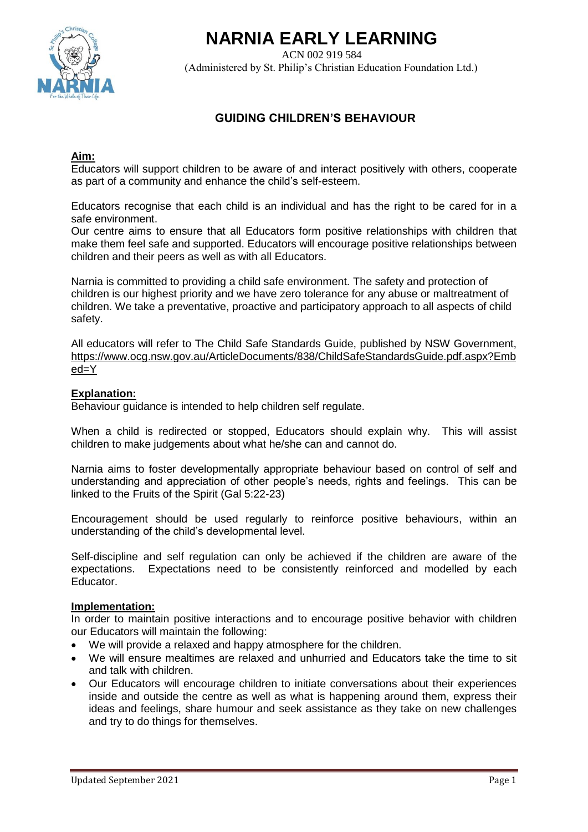

# **NARNIA EARLY LEARNING**

ACN 002 919 584 (Administered by St. Philip's Christian Education Foundation Ltd.)

# **GUIDING CHILDREN'S BEHAVIOUR**

## **Aim:**

Educators will support children to be aware of and interact positively with others, cooperate as part of a community and enhance the child's self-esteem.

Educators recognise that each child is an individual and has the right to be cared for in a safe environment.

Our centre aims to ensure that all Educators form positive relationships with children that make them feel safe and supported. Educators will encourage positive relationships between children and their peers as well as with all Educators.

Narnia is committed to providing a child safe environment. The safety and protection of children is our highest priority and we have zero tolerance for any abuse or maltreatment of children. We take a preventative, proactive and participatory approach to all aspects of child safety.

All educators will refer to The Child Safe Standards Guide, published by NSW Government, [https://www.ocg.nsw.gov.au/ArticleDocuments/838/ChildSafeStandardsGuide.pdf.aspx?Emb](https://www.ocg.nsw.gov.au/ArticleDocuments/838/ChildSafeStandardsGuide.pdf.aspx?Embed=Y) [ed=Y](https://www.ocg.nsw.gov.au/ArticleDocuments/838/ChildSafeStandardsGuide.pdf.aspx?Embed=Y)

#### **Explanation:**

Behaviour guidance is intended to help children self regulate.

When a child is redirected or stopped, Educators should explain why. This will assist children to make judgements about what he/she can and cannot do.

Narnia aims to foster developmentally appropriate behaviour based on control of self and understanding and appreciation of other people's needs, rights and feelings. This can be linked to the Fruits of the Spirit (Gal 5:22-23)

Encouragement should be used regularly to reinforce positive behaviours, within an understanding of the child's developmental level.

Self-discipline and self regulation can only be achieved if the children are aware of the expectations. Expectations need to be consistently reinforced and modelled by each Educator.

#### **Implementation:**

In order to maintain positive interactions and to encourage positive behavior with children our Educators will maintain the following:

- We will provide a relaxed and happy atmosphere for the children.
- We will ensure mealtimes are relaxed and unhurried and Educators take the time to sit and talk with children.
- Our Educators will encourage children to initiate conversations about their experiences inside and outside the centre as well as what is happening around them, express their ideas and feelings, share humour and seek assistance as they take on new challenges and try to do things for themselves.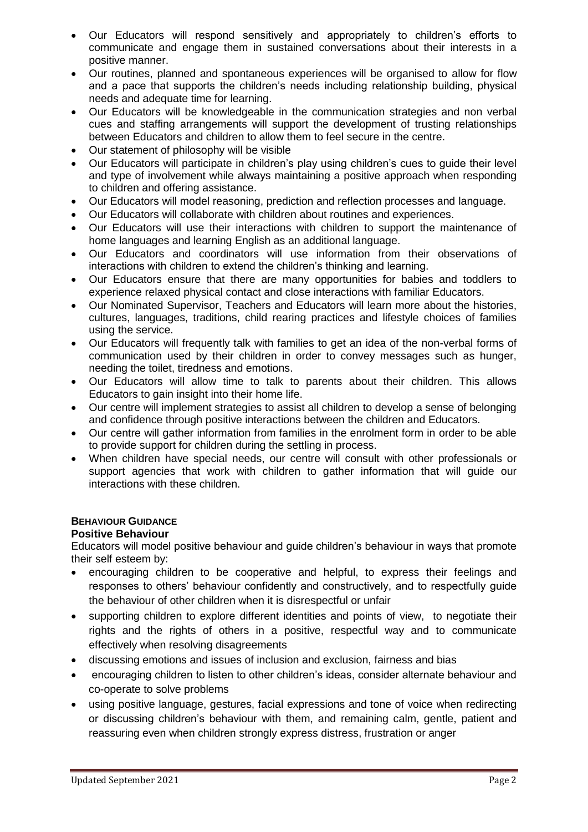- Our Educators will respond sensitively and appropriately to children's efforts to communicate and engage them in sustained conversations about their interests in a positive manner.
- Our routines, planned and spontaneous experiences will be organised to allow for flow and a pace that supports the children's needs including relationship building, physical needs and adequate time for learning.
- Our Educators will be knowledgeable in the communication strategies and non verbal cues and staffing arrangements will support the development of trusting relationships between Educators and children to allow them to feel secure in the centre.
- Our statement of philosophy will be visible
- Our Educators will participate in children's play using children's cues to guide their level and type of involvement while always maintaining a positive approach when responding to children and offering assistance.
- Our Educators will model reasoning, prediction and reflection processes and language.
- Our Educators will collaborate with children about routines and experiences.
- Our Educators will use their interactions with children to support the maintenance of home languages and learning English as an additional language.
- Our Educators and coordinators will use information from their observations of interactions with children to extend the children's thinking and learning.
- Our Educators ensure that there are many opportunities for babies and toddlers to experience relaxed physical contact and close interactions with familiar Educators.
- Our Nominated Supervisor, Teachers and Educators will learn more about the histories, cultures, languages, traditions, child rearing practices and lifestyle choices of families using the service.
- Our Educators will frequently talk with families to get an idea of the non-verbal forms of communication used by their children in order to convey messages such as hunger, needing the toilet, tiredness and emotions.
- Our Educators will allow time to talk to parents about their children. This allows Educators to gain insight into their home life.
- Our centre will implement strategies to assist all children to develop a sense of belonging and confidence through positive interactions between the children and Educators.
- Our centre will gather information from families in the enrolment form in order to be able to provide support for children during the settling in process.
- When children have special needs, our centre will consult with other professionals or support agencies that work with children to gather information that will guide our interactions with these children.

# **BEHAVIOUR GUIDANCE**

## **Positive Behaviour**

Educators will model positive behaviour and guide children's behaviour in ways that promote their self esteem by:

- encouraging children to be cooperative and helpful, to express their feelings and responses to others' behaviour confidently and constructively, and to respectfully guide the behaviour of other children when it is disrespectful or unfair
- supporting children to explore different identities and points of view, to negotiate their rights and the rights of others in a positive, respectful way and to communicate effectively when resolving disagreements
- discussing emotions and issues of inclusion and exclusion, fairness and bias
- encouraging children to listen to other children's ideas, consider alternate behaviour and co-operate to solve problems
- using positive language, gestures, facial expressions and tone of voice when redirecting or discussing children's behaviour with them, and remaining calm, gentle, patient and reassuring even when children strongly express distress, frustration or anger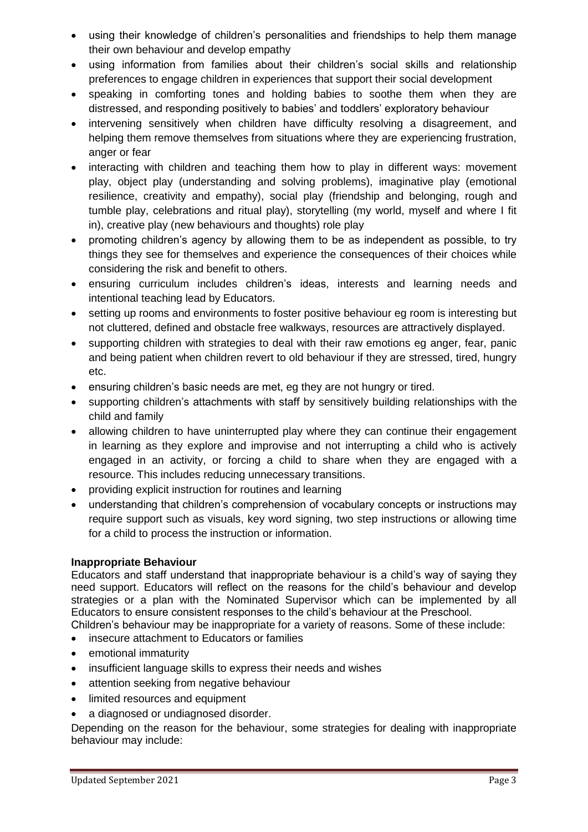- using their knowledge of children's personalities and friendships to help them manage their own behaviour and develop empathy
- using information from families about their children's social skills and relationship preferences to engage children in experiences that support their social development
- speaking in comforting tones and holding babies to soothe them when they are distressed, and responding positively to babies' and toddlers' exploratory behaviour
- intervening sensitively when children have difficulty resolving a disagreement, and helping them remove themselves from situations where they are experiencing frustration, anger or fear
- interacting with children and teaching them how to play in different ways: movement play, object play (understanding and solving problems), imaginative play (emotional resilience, creativity and empathy), social play (friendship and belonging, rough and tumble play, celebrations and ritual play), storytelling (my world, myself and where I fit in), creative play (new behaviours and thoughts) role play
- promoting children's agency by allowing them to be as independent as possible, to try things they see for themselves and experience the consequences of their choices while considering the risk and benefit to others.
- ensuring curriculum includes children's ideas, interests and learning needs and intentional teaching lead by Educators.
- setting up rooms and environments to foster positive behaviour eg room is interesting but not cluttered, defined and obstacle free walkways, resources are attractively displayed.
- supporting children with strategies to deal with their raw emotions eg anger, fear, panic and being patient when children revert to old behaviour if they are stressed, tired, hungry etc.
- ensuring children's basic needs are met, eg they are not hungry or tired.
- supporting children's attachments with staff by sensitively building relationships with the child and family
- allowing children to have uninterrupted play where they can continue their engagement in learning as they explore and improvise and not interrupting a child who is actively engaged in an activity, or forcing a child to share when they are engaged with a resource. This includes reducing unnecessary transitions.
- providing explicit instruction for routines and learning
- understanding that children's comprehension of vocabulary concepts or instructions may require support such as visuals, key word signing, two step instructions or allowing time for a child to process the instruction or information.

## **Inappropriate Behaviour**

Educators and staff understand that inappropriate behaviour is a child's way of saying they need support. Educators will reflect on the reasons for the child's behaviour and develop strategies or a plan with the Nominated Supervisor which can be implemented by all Educators to ensure consistent responses to the child's behaviour at the Preschool.

- Children's behaviour may be inappropriate for a variety of reasons. Some of these include:
- insecure attachment to Educators or families
- emotional immaturity
- insufficient language skills to express their needs and wishes
- attention seeking from negative behaviour
- limited resources and equipment
- a diagnosed or undiagnosed disorder.

Depending on the reason for the behaviour, some strategies for dealing with inappropriate behaviour may include: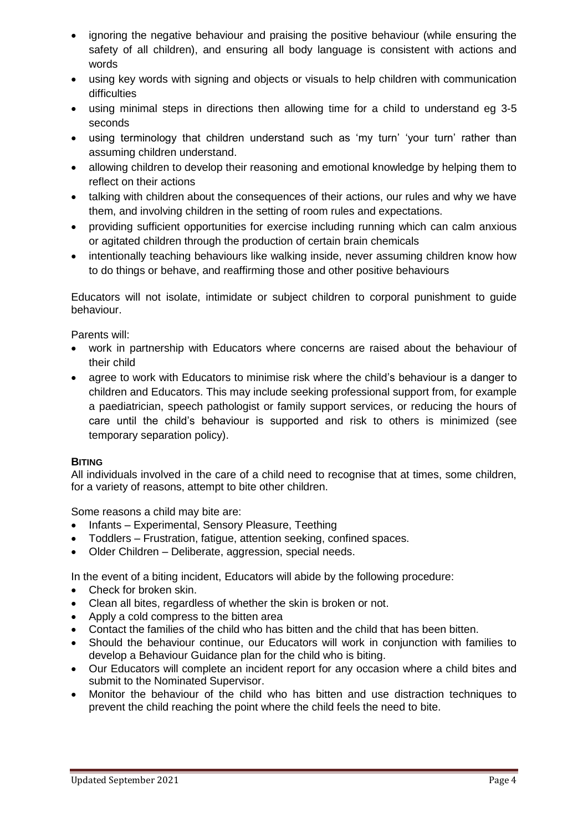- ignoring the negative behaviour and praising the positive behaviour (while ensuring the safety of all children), and ensuring all body language is consistent with actions and words
- using key words with signing and objects or visuals to help children with communication difficulties
- using minimal steps in directions then allowing time for a child to understand eg 3-5 seconds
- using terminology that children understand such as 'my turn' 'your turn' rather than assuming children understand.
- allowing children to develop their reasoning and emotional knowledge by helping them to reflect on their actions
- talking with children about the consequences of their actions, our rules and why we have them, and involving children in the setting of room rules and expectations.
- providing sufficient opportunities for exercise including running which can calm anxious or agitated children through the production of certain brain chemicals
- intentionally teaching behaviours like walking inside, never assuming children know how to do things or behave, and reaffirming those and other positive behaviours

Educators will not isolate, intimidate or subject children to corporal punishment to guide behaviour.

Parents will:

- work in partnership with Educators where concerns are raised about the behaviour of their child
- agree to work with Educators to minimise risk where the child's behaviour is a danger to children and Educators. This may include seeking professional support from, for example a paediatrician, speech pathologist or family support services, or reducing the hours of care until the child's behaviour is supported and risk to others is minimized (see temporary separation policy).

#### **BITING**

All individuals involved in the care of a child need to recognise that at times, some children, for a variety of reasons, attempt to bite other children.

Some reasons a child may bite are:

- Infants Experimental, Sensory Pleasure, Teething
- Toddlers Frustration, fatigue, attention seeking, confined spaces.
- Older Children Deliberate, aggression, special needs.

In the event of a biting incident, Educators will abide by the following procedure:

- Check for broken skin.
- Clean all bites, regardless of whether the skin is broken or not.
- Apply a cold compress to the bitten area
- Contact the families of the child who has bitten and the child that has been bitten.
- Should the behaviour continue, our Educators will work in conjunction with families to develop a Behaviour Guidance plan for the child who is biting.
- Our Educators will complete an incident report for any occasion where a child bites and submit to the Nominated Supervisor.
- Monitor the behaviour of the child who has bitten and use distraction techniques to prevent the child reaching the point where the child feels the need to bite.